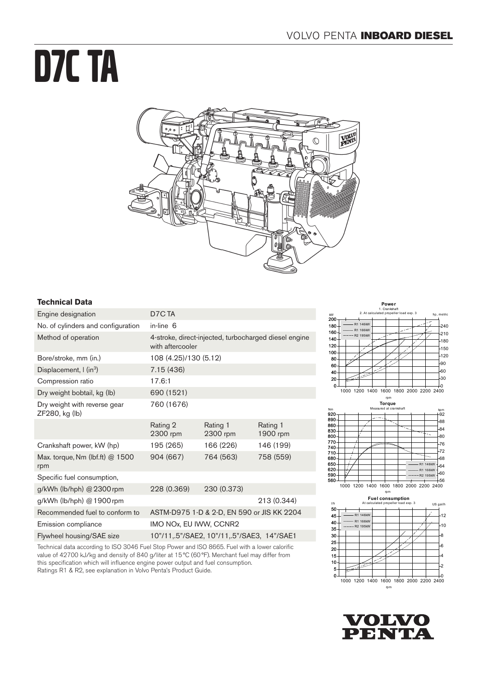# D7C TA



# **Technical Data**

| Engine designation                                    | D <sub>7</sub> C <sub>TA</sub>                                            |                      |                      |
|-------------------------------------------------------|---------------------------------------------------------------------------|----------------------|----------------------|
| No. of cylinders and configuration                    | in-line 6                                                                 |                      |                      |
| Method of operation                                   | 4-stroke, direct-injected, turbocharged diesel engine<br>with aftercooler |                      |                      |
| Bore/stroke, mm (in.)                                 | 108 (4.25)/130 (5.12)                                                     |                      |                      |
| Displacement, I (in <sup>3</sup> )                    | 7.15 (436)                                                                |                      |                      |
| Compression ratio                                     | 17.6:1                                                                    |                      |                      |
| Dry weight bobtail, kg (lb)                           | 690 (1521)                                                                |                      |                      |
| Dry weight with reverse gear<br>ZF280, kg (lb)        | 760 (1676)                                                                |                      |                      |
|                                                       | Rating 2<br>2300 rpm                                                      | Rating 1<br>2300 rpm | Rating 1<br>1900 rpm |
| Crankshaft power, kW (hp)                             | 195 (265)                                                                 | 166 (226)            | 146 (199)            |
| Max. torque, Nm (lbf.ft) @ 1500<br>rpm                | 904 (667)                                                                 | 764 (563)            | 758 (559)            |
| Specific fuel consumption,                            |                                                                           |                      |                      |
| g/kWh (lb/hph) @ 2300 rpm                             | 228 (0.369)                                                               | 230 (0.373)          |                      |
| g/kWh (lb/hph) @ 1900 rpm                             |                                                                           |                      | 213 (0.344)          |
| Recommended fuel to conform to                        | ASTM-D975 1-D & 2-D, EN 590 or JIS KK 2204                                |                      |                      |
| Emission compliance                                   | IMO NOx, EU IWW, CCNR2                                                    |                      |                      |
| Flywheel housing/SAE size                             | 10"/11,.5"/SAE2, 10"/11,.5"/SAE3, 14"/SAE1                                |                      |                      |
| T I ' I II I IN ORACT LOL DU LIOQUOCET I 'II I I I'I' |                                                                           |                      |                      |

Technical data according to ISO 3046 Fuel Stop Power and ISO 8665. Fuel with a lower calorific value of 42700 kJ/kg and density of 840 g/liter at 15°C (60°F). Merchant fuel may differ from this specification which will influence engine power output and fuel consumption. Ratings R1 & R2, see explanation in Volvo Penta's Product Guide.